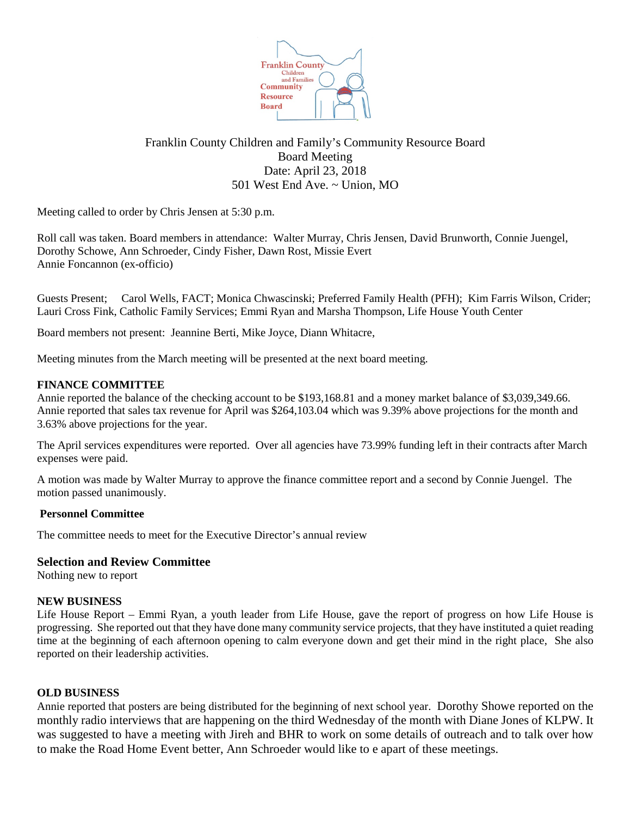

# Franklin County Children and Family's Community Resource Board Board Meeting Date: April 23, 2018 501 West End Ave. ~ Union, MO

Meeting called to order by Chris Jensen at 5:30 p.m.

Roll call was taken. Board members in attendance: Walter Murray, Chris Jensen, David Brunworth, Connie Juengel, Dorothy Schowe, Ann Schroeder, Cindy Fisher, Dawn Rost, Missie Evert Annie Foncannon (ex-officio)

Guests Present; Carol Wells, FACT; Monica Chwascinski; Preferred Family Health (PFH); Kim Farris Wilson, Crider; Lauri Cross Fink, Catholic Family Services; Emmi Ryan and Marsha Thompson, Life House Youth Center

Board members not present: Jeannine Berti, Mike Joyce, Diann Whitacre,

Meeting minutes from the March meeting will be presented at the next board meeting.

## **FINANCE COMMITTEE**

Annie reported the balance of the checking account to be \$193,168.81 and a money market balance of \$3,039,349.66. Annie reported that sales tax revenue for April was \$264,103.04 which was 9.39% above projections for the month and 3.63% above projections for the year.

The April services expenditures were reported. Over all agencies have 73.99% funding left in their contracts after March expenses were paid.

A motion was made by Walter Murray to approve the finance committee report and a second by Connie Juengel. The motion passed unanimously.

### **Personnel Committee**

The committee needs to meet for the Executive Director's annual review

### **Selection and Review Committee**

Nothing new to report

### **NEW BUSINESS**

Life House Report – Emmi Ryan, a youth leader from Life House, gave the report of progress on how Life House is progressing. She reported out that they have done many community service projects, that they have instituted a quiet reading time at the beginning of each afternoon opening to calm everyone down and get their mind in the right place, She also reported on their leadership activities.

### **OLD BUSINESS**

Annie reported that posters are being distributed for the beginning of next school year. Dorothy Showe reported on the monthly radio interviews that are happening on the third Wednesday of the month with Diane Jones of KLPW. It was suggested to have a meeting with Jireh and BHR to work on some details of outreach and to talk over how to make the Road Home Event better, Ann Schroeder would like to e apart of these meetings.